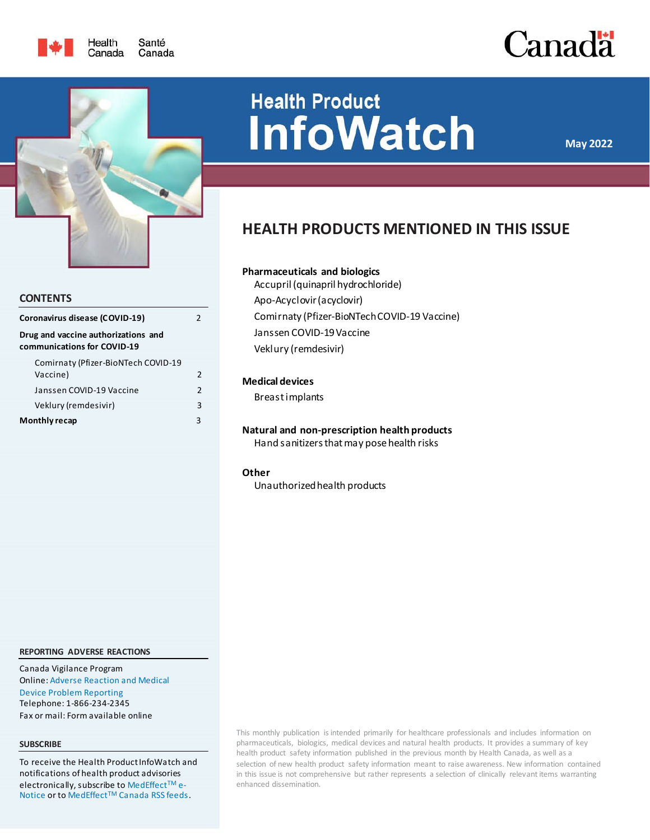





### **CONTENTS**

| Coronavirus disease (COVID-19)                                     | 2                        |
|--------------------------------------------------------------------|--------------------------|
| Drug and vaccine authorizations and<br>communications for COVID-19 |                          |
| Comirnaty (Pfizer-BioNTech COVID-19<br>Vaccine)                    | 2                        |
| Janssen COVID-19 Vaccine                                           | $\overline{\phantom{a}}$ |
| Veklury (remdesivir)                                               | 3                        |
| Monthly recap                                                      | 3                        |

# **Health Product InfoWatch**

**May 2022**

# **HEALTH PRODUCTS MENTIONED IN THIS ISSUE**

### **Pharmaceuticals and biologics**

[Accupril \(quinapril hydrochloride\)](#page-2-2) [Apo-Acyclovir \(acyclovir\)](#page-2-3) [Comirnaty \(Pfizer-BioNTech COVID-19 Vaccine\)](#page-1-2) [Janssen COVID-19 Vaccine](#page-1-3) [Veklury \(remdesivir\)](#page-2-0)

### **Medical devices**

[Breast implants](#page-2-4)

**Natural and non-prescription health products** [Hand sanitizers that may pose health risks](#page-3-0)

### **Other**

[Unauthorized health products](#page-3-1)

#### **REPORTING ADVERSE REACTIONS**

Canada Vigilance Program Online[: Adverse Reaction and Medical](https://www.canada.ca/en/health-canada/services/drugs-health-products/medeffect-canada/adverse-reaction-reporting.html)  [Device Problem Reporting](https://www.canada.ca/en/health-canada/services/drugs-health-products/medeffect-canada/adverse-reaction-reporting.html) Telephone: 1-866-234-2345 Fax or mail: Form available online

#### **SUBSCRIBE**

To receive the Health Product InfoWatch and notifications of health product advisories electronically, subscribe t[o MedEffect](https://www.canada.ca/en/health-canada/services/drugs-health-products/medeffect-canada/health-product-infowatch.html#a3)™ e-[Notice](https://www.canada.ca/en/health-canada/services/drugs-health-products/medeffect-canada/health-product-infowatch.html#a3) or to MedEffect<sup>™</sup> [Canada RSS feeds.](https://www.canada.ca/en/health-canada/services/drugs-health-products/medeffect-canada/stay-informed-medeffect-canada/medeffect-canada-rss-feeds.html)

This monthly publication is intended primarily for healthcare professionals and includes information on pharmaceuticals, biologics, medical devices and natural health products. It provides a summary of key health product safety information published in the previous month by Health Canada, as well as a selection of new health product safety information meant to raise awareness. New information contained in this issue is not comprehensive but rather represents a selection of clinically relevant items warranting enhanced dissemination.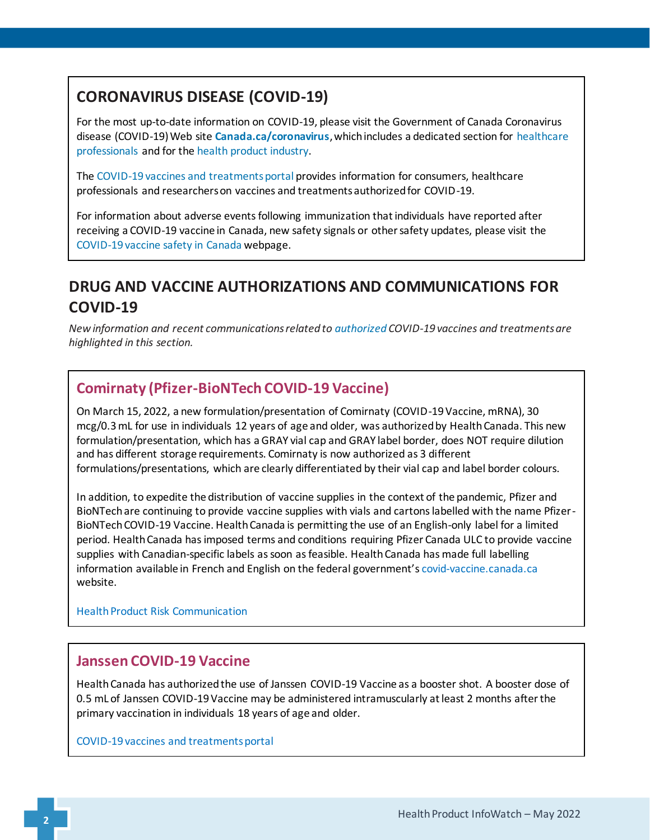# <span id="page-1-0"></span>**CORONAVIRUS DISEASE (COVID-19)**

For the most up-to-date information on COVID-19, please visit the Government of Canada Coronavirus disease (COVID-19) Web site **[Canada.ca/coronavirus](https://www.canada.ca/en/public-health/services/diseases/coronavirus-disease-covid-19.html?utm_campaign=not-applicable&utm_medium=vanity-url&utm_source=canada-ca_coronavirus)**, which includes a dedicated section for [healthcare](https://www.canada.ca/en/public-health/services/diseases/2019-novel-coronavirus-infection/health-professionals.html)  [professionals](https://www.canada.ca/en/public-health/services/diseases/2019-novel-coronavirus-infection/health-professionals.html) and for the [health product industry.](https://www.canada.ca/en/health-canada/services/drugs-health-products/covid19-industry.html)

The [COVID-19 vaccines and treatments portal](https://covid-vaccine.canada.ca/) provides information for consumers, healthcare professionals and researchers on vaccines and treatments authorized for COVID-19.

For information about adverse events following immunization that individuals have reported after receiving a COVID-19 vaccine in Canada, new safety signals or other safety updates, please visit the [COVID-19 vaccine safety in Canada](https://health-infobase.canada.ca/covid-19/vaccine-safety/) webpage.

# <span id="page-1-1"></span>**DRUG AND VACCINE AUTHORIZATIONS AND COMMUNICATIONS FOR COVID-19**

*New information and recent communications related t[o authorized](https://www.canada.ca/en/health-canada/services/drugs-health-products/covid19-industry/drugs-vaccines-treatments/authorization/list-drugs.html) COVID-19 vaccines and treatments are highlighted in this section.*

# <span id="page-1-2"></span>**Comirnaty (Pfizer-BioNTech COVID-19 Vaccine)**

On March 15, 2022, a new formulation/presentation of Comirnaty (COVID-19 Vaccine, mRNA), 30 mcg/0.3 mL for use in individuals 12 years of age and older, was authorized by Health Canada. This new formulation/presentation, which has a GRAY vial cap and GRAY label border, does NOT require dilution and has different storage requirements. Comirnaty is now authorized as 3 different formulations/presentations, which are clearly differentiated by their vial cap and label border colours.

In addition, to expedite the distribution of vaccine supplies in the context of the pandemic, Pfizer and BioNTech are continuing to provide vaccine supplies with vials and cartons labelled with the name Pfizer-BioNTech COVID-19 Vaccine. Health Canada is permitting the use of an English-only label for a limited period. Health Canada has imposed terms and conditions requiring Pfizer Canada ULC to provide vaccine supplies with Canadian-specific labels as soon as feasible. Health Canada has made full labelling information available in French and English on the federal government's [covid-vaccine.canada.ca](https://covid-vaccine.canada.ca/) website.

Health Product [Risk Communication](https://recalls-rappels.canada.ca/en/alert-recall/comirnaty-covid-19-vaccine-mrna-also-referred-pfizer-biontech-covid-19-vaccine-new)

## <span id="page-1-3"></span>**Janssen COVID-19 Vaccine**

Health Canada has authorized the use of Janssen COVID-19 Vaccine as a booster shot. A booster dose of 0.5 mL of Janssen COVID-19 Vaccine may be administered intramuscularly at least 2 months after the primary vaccination in individuals 18 years of age and older.

[COVID-19 vaccines and treatments portal](https://covid-vaccine.canada.ca/janssen-covid-19-vaccine/product-details)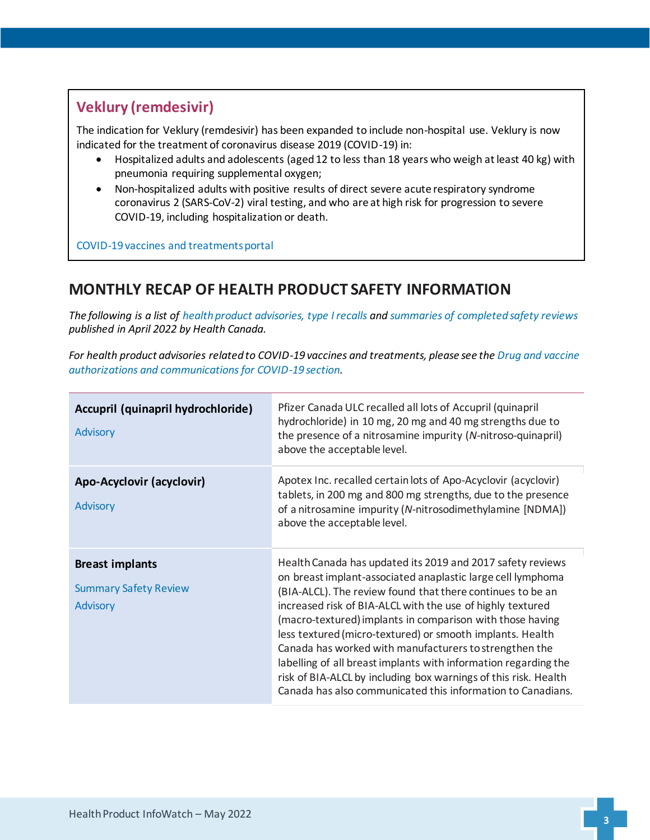# <span id="page-2-0"></span>**Veklury (remdesivir)**

The indication for Veklury (remdesivir) has been expanded to include non-hospital use. Veklury is now indicated for the treatment of coronavirus disease 2019 (COVID-19) in:

- Hospitalized adults and adolescents (aged 12 to less than 18 years who weigh at least 40 kg) with pneumonia requiring supplemental oxygen;
- Non-hospitalized adults with positive results of direct severe acute respiratory syndrome coronavirus 2 (SARS-CoV-2) viral testing, and who are at high risk for progression to severe COVID-19, including hospitalization or death.

[COVID-19 vaccines and treatments portal](https://covid-vaccine.canada.ca/veklury/product-details)

# <span id="page-2-1"></span>**MONTHLY RECAP OF HEALTH PRODUCT SAFETY INFORMATION**

*The following is a list o[f health product advisories, type I recalls](https://recalls-rappels.canada.ca/en) and [summaries of completed safety reviews](https://hpr-rps.hres.ca/reg-content/summary-safety-review.php) published in April 2022 by Health Canada.*

*For health product advisories related to COVID-19 vaccines and treatments, please see the [Drug and vaccine](#page-1-1)  [authorizations and communications for COVID-19 section.](#page-1-1)*

<span id="page-2-4"></span><span id="page-2-3"></span><span id="page-2-2"></span>

| Accupril (quinapril hydrochloride)<br><b>Advisory</b>                     | Pfizer Canada ULC recalled all lots of Accupril (quinapril<br>hydrochloride) in 10 mg, 20 mg and 40 mg strengths due to<br>the presence of a nitrosamine impurity (N-nitroso-quinapril)<br>above the acceptable level.                                                                                                                                                                                                                                                                                                                                                                                                                         |
|---------------------------------------------------------------------------|------------------------------------------------------------------------------------------------------------------------------------------------------------------------------------------------------------------------------------------------------------------------------------------------------------------------------------------------------------------------------------------------------------------------------------------------------------------------------------------------------------------------------------------------------------------------------------------------------------------------------------------------|
| Apo-Acyclovir (acyclovir)<br><b>Advisory</b>                              | Apotex Inc. recalled certain lots of Apo-Acyclovir (acyclovir)<br>tablets, in 200 mg and 800 mg strengths, due to the presence<br>of a nitrosamine impurity (N-nitrosodimethylamine [NDMA])<br>above the acceptable level.                                                                                                                                                                                                                                                                                                                                                                                                                     |
| <b>Breast implants</b><br><b>Summary Safety Review</b><br><b>Advisory</b> | Health Canada has updated its 2019 and 2017 safety reviews<br>on breast implant-associated anaplastic large cell lymphoma<br>(BIA-ALCL). The review found that there continues to be an<br>increased risk of BIA-ALCL with the use of highly textured<br>(macro-textured) implants in comparison with those having<br>less textured (micro-textured) or smooth implants. Health<br>Canada has worked with manufacturers to strengthen the<br>labelling of all breast implants with information regarding the<br>risk of BIA-ALCL by including box warnings of this risk. Health<br>Canada has also communicated this information to Canadians. |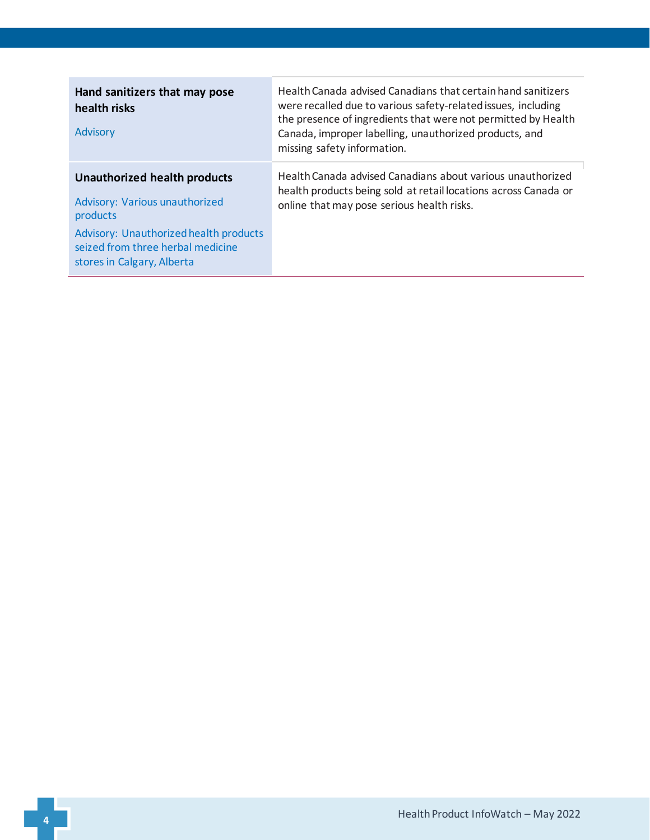<span id="page-3-1"></span><span id="page-3-0"></span>

| Hand sanitizers that may pose<br>health risks<br>Advisory                                                                                                                                      | Health Canada advised Canadians that certain hand sanitizers<br>were recalled due to various safety-related issues, including<br>the presence of ingredients that were not permitted by Health<br>Canada, improper labelling, unauthorized products, and<br>missing safety information. |
|------------------------------------------------------------------------------------------------------------------------------------------------------------------------------------------------|-----------------------------------------------------------------------------------------------------------------------------------------------------------------------------------------------------------------------------------------------------------------------------------------|
| <b>Unauthorized health products</b><br>Advisory: Various unauthorized<br>products<br>Advisory: Unauthorized health products<br>seized from three herbal medicine<br>stores in Calgary, Alberta | Health Canada advised Canadians about various unauthorized<br>health products being sold at retail locations across Canada or<br>online that may pose serious health risks.                                                                                                             |